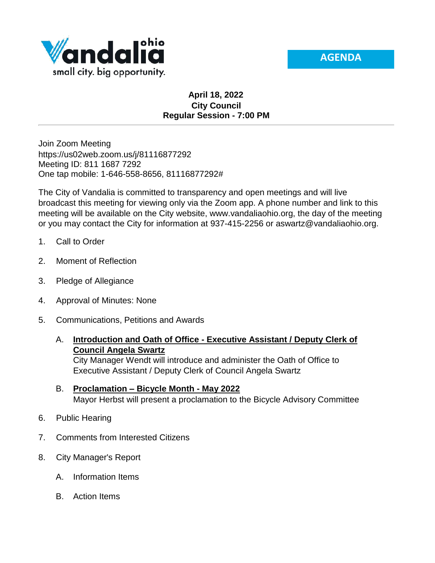



## **April 18, 2022 City Council Regular Session - 7:00 PM**

Join Zoom Meeting https://us02web.zoom.us/j/81116877292 Meeting ID: 811 1687 7292 One tap mobile: 1-646-558-8656, 81116877292#

The City of Vandalia is committed to transparency and open meetings and will live broadcast this meeting for viewing only via the Zoom app. A phone number and link to this meeting will be available on the City website, www.vandaliaohio.org, the day of the meeting or you may contact the City for information at 937-415-2256 or aswartz@vandaliaohio.org.

- 1. Call to Order
- 2. Moment of Reflection
- 3. Pledge of Allegiance
- 4. Approval of Minutes: None
- 5. Communications, Petitions and Awards
	- A. **Introduction and Oath of Office - Executive Assistant / Deputy Clerk of Council Angela Swartz**

City Manager Wendt will introduce and administer the Oath of Office to Executive Assistant / Deputy Clerk of Council Angela Swartz

- B. **Proclamation – Bicycle Month - May 2022** Mayor Herbst will present a proclamation to the Bicycle Advisory Committee
- 6. Public Hearing
- 7. Comments from Interested Citizens
- 8. City Manager's Report
	- A. Information Items
	- B. Action Items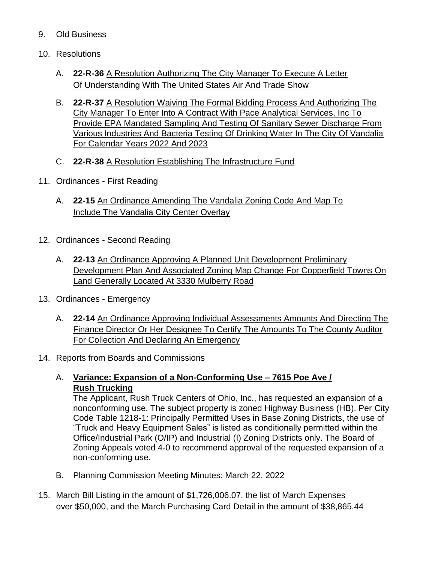- 9. Old Business
- 10. Resolutions
	- A. **22-R-36** A Resolution Authorizing The City Manager To Execute A Letter Of Understanding With The United States Air And Trade Show
	- B. **22-R-37** A Resolution Waiving The Formal Bidding Process And Authorizing The City Manager To Enter Into A Contract With Pace Analytical Services, Inc To Provide EPA Mandated Sampling And Testing Of Sanitary Sewer Discharge From Various Industries And Bacteria Testing Of Drinking Water In The City Of Vandalia For Calendar Years 2022 And 2023
	- C. **22-R-38** A Resolution Establishing The Infrastructure Fund
- 11. Ordinances First Reading
	- A. **22-15** An Ordinance Amending The Vandalia Zoning Code And Map To Include The Vandalia City Center Overlay
- 12. Ordinances Second Reading
	- A. **22-13** An Ordinance Approving A Planned Unit Development Preliminary Development Plan And Associated Zoning Map Change For Copperfield Towns On Land Generally Located At 3330 Mulberry Road
- 13. Ordinances Emergency
	- A. **22-14** An Ordinance Approving Individual Assessments Amounts And Directing The Finance Director Or Her Designee To Certify The Amounts To The County Auditor For Collection And Declaring An Emergency
- 14. Reports from Boards and Commissions
	- A. **Variance: Expansion of a Non-Conforming Use – 7615 Poe Ave / Rush Trucking**

The Applicant, Rush Truck Centers of Ohio, Inc., has requested an expansion of a nonconforming use. The subject property is zoned Highway Business (HB). Per City Code Table 1218-1: Principally Permitted Uses in Base Zoning Districts, the use of "Truck and Heavy Equipment Sales" is listed as conditionally permitted within the Office/Industrial Park (O/IP) and Industrial (I) Zoning Districts only. The Board of Zoning Appeals voted 4-0 to recommend approval of the requested expansion of a non-conforming use.

- B. Planning Commission Meeting Minutes: March 22, 2022
- 15. March Bill Listing in the amount of \$1,726,006.07, the list of March Expenses over \$50,000, and the March Purchasing Card Detail in the amount of \$38,865.44